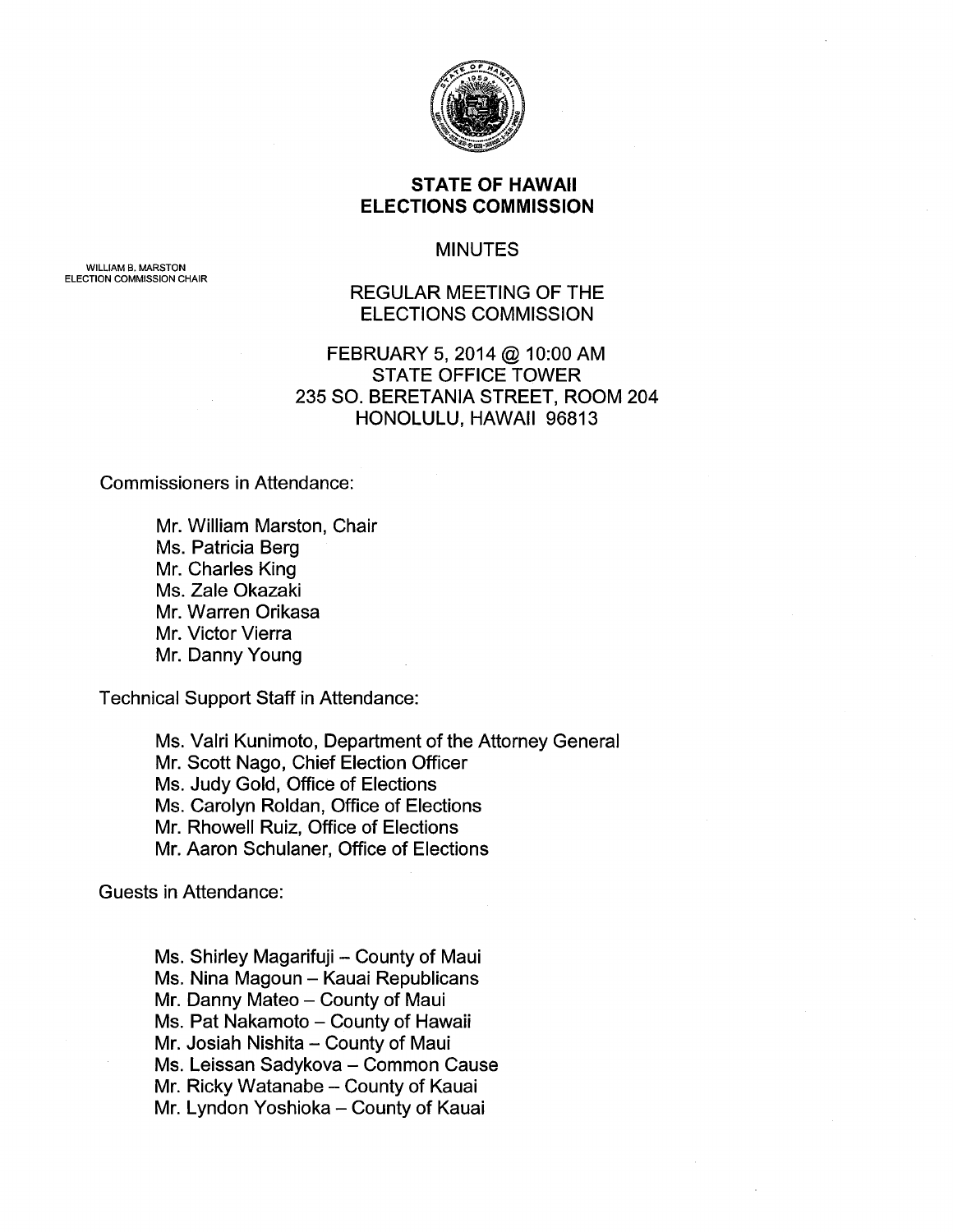

## STATE OF HAWAII ELECTIONS COMMISSION

#### MINUTES

REGULAR MEETING OF THE ELECTIONS COMMISSION

# FEBRUARY 5, 2014 @ 10:00 AM STATE OFFICE TOWER 235 SO. BERETANIA STREET, ROOM 204 HONOLULU, HAWAII 96813

Commissioners in Attendance:

WILLIAM B. MARSTON ELECTION COMMISSION CHAIR

> Mr. William Marston, Chair Ms. Patricia Berg Mr. Charles King Ms. Zale Okazaki Mr. Warren Orikasa Mr. Victor Vierra Mr. Danny Young

Technical Support Staff in Attendance:

Ms. Valri Kunimoto, Department of the Attorney General Mr. Scott Nago, Chief Election Officer Ms. Judy Gold, Office of Elections Ms. Carolyn Roldan, Office of Elections Mr. Rhowell Ruiz, Office of Elections Mr. Aaron Schulaner, Office of Elections

Guests in Attendance:

Ms. Shirley Magarifuji - County of Maui Ms. Nina Magoun - Kauai Republicans Mr. Danny Mateo - County of Maui Ms. Pat Nakamoto - County of Hawaii Mr. Josiah Nishita - County of Maui Ms. Leissan Sadykova - Common Cause Mr. Ricky Watanabe - County of Kauai Mr. Lyndon Yoshioka- County of Kauai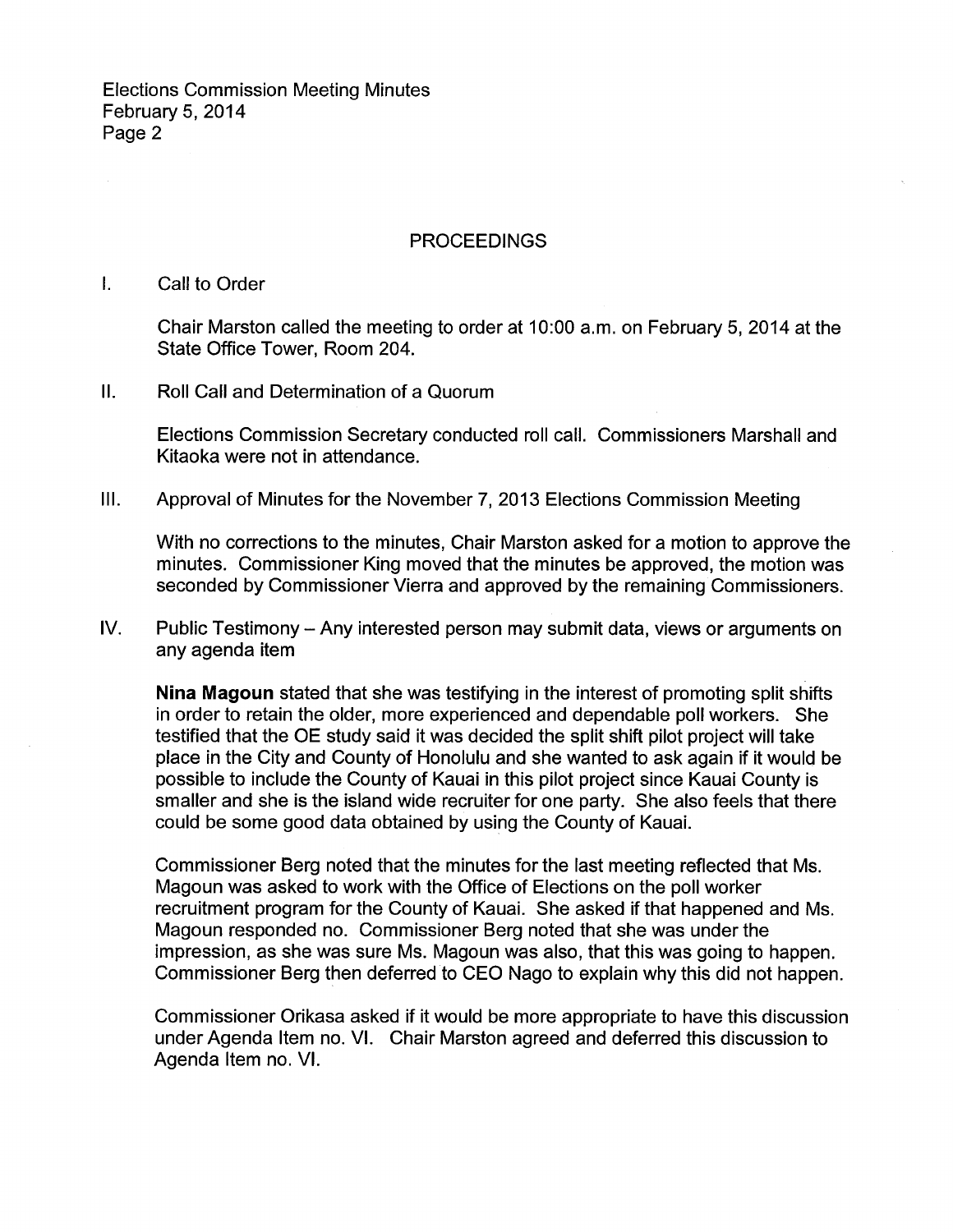### PROCEEDINGS

## I. Call to Order

Chair Marston called the meeting to order at 10:00 a.m. on February 5, 2014 at the State Office Tower, Room 204.

II. Roll Call and Determination of a Quorum

Elections Commission Secretary conducted roll call. Commissioners Marshall and Kitaoka were not in attendance.

## III. Approval of Minutes for the November 7, 2013 Elections Commission Meeting

With no corrections to the minutes, Chair Marston asked for a motion to approve the minutes. Commissioner King moved that the minutes be approved, the motion was seconded by Commissioner Vierra and approved by the remaining Commissioners.

IV. Public Testimony - Any interested person may submit data, views or arguments on any agenda item

**Nina Magoun** stated that she was testifying in the interest of promoting split shifts in order to retain the older, more experienced and dependable poll workers. She testified that the OE study said it was decided the split shift pilot project will take place in the City and County of Honolulu and she wanted to ask again if it would be possible to include the County of Kauai in this pilot project since Kauai County is smaller and she is the island wide recruiter for one party. She also feels that there could be some good data obtained by using the County of Kauai.

Commissioner Berg noted that the minutes for the last meeting reflected that Ms. Magoun was asked to work with the Office of Elections on the poll worker recruitment program for the County of Kauai. She asked if that happened and Ms. Magoun responded no. Commissioner Berg noted that she was under the impression, as she was sure Ms. Magoun was also, that this was going to happen. Commissioner Berg then deferred to CEO Nago to explain why this did not happen.

Commissioner Orikasa asked if it would be more appropriate to have this discussion under Agenda Item no. VI. Chair Marston agreed and deferred this discussion to Agenda Item no. VI.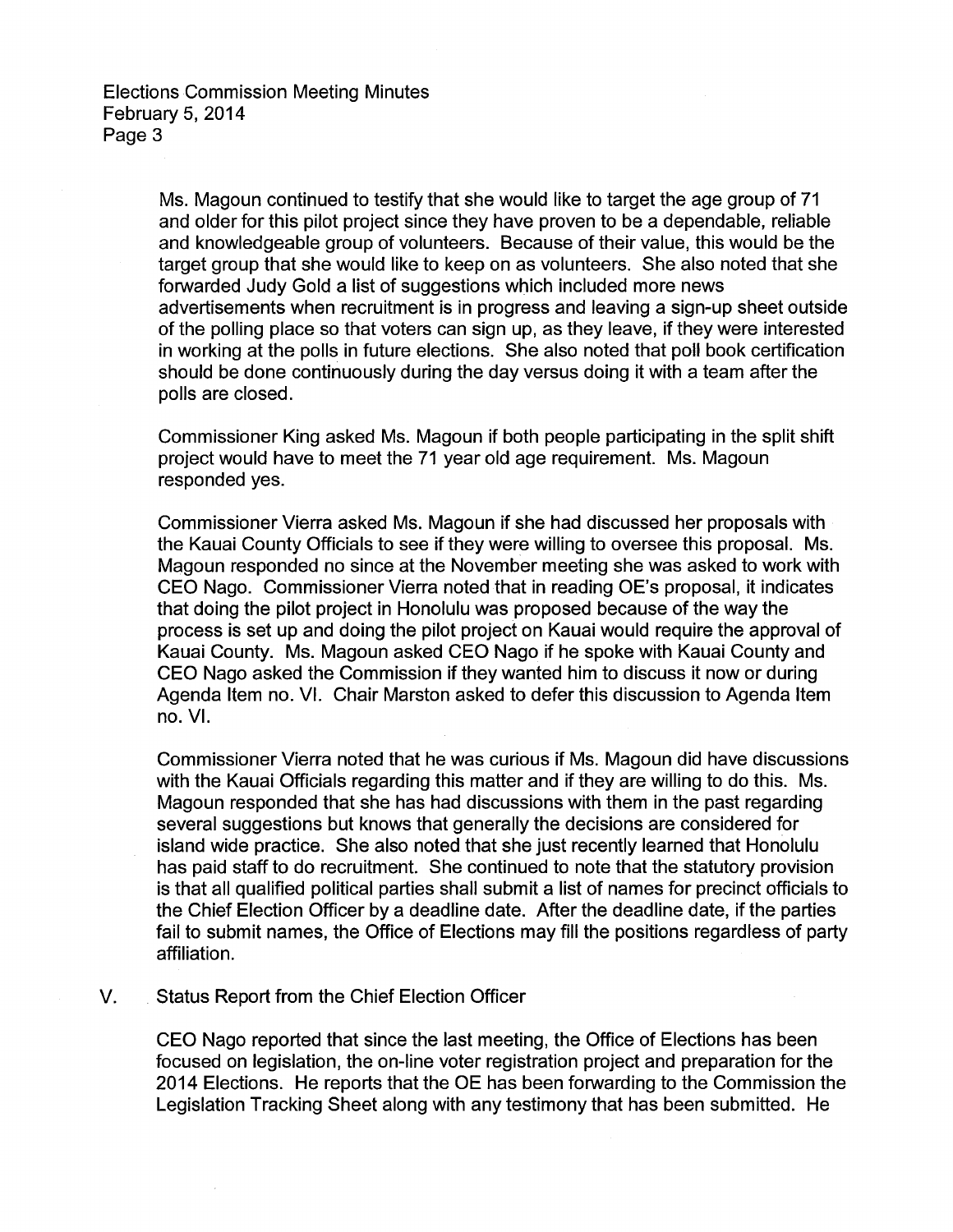Ms. Magoun continued to testify that she would like to target the age group of 71 and older for this pilot project since they have proven to be a dependable, reliable and knowledgeable group of volunteers. Because of their value, this would be the target group that she would like to keep on as volunteers. She also noted that she forwarded Judy Gold a list of suggestions which included more news advertisements when recruitment is in progress and leaving a sign-up sheet outside of the polling place so that voters can sign up, as they leave, if they were interested in working at the polls in future elections. She also noted that poll book certification should be done continuously during the day versus doing it with a team after the polls are closed.

Commissioner King asked Ms. Magoun if both people participating in the split shift project would have to meet the 71 year old age requirement. Ms. Magoun responded yes.

Commissioner Vierra asked Ms. Magoun if she had discussed her proposals with the Kauai County Officials to see if they were willing to oversee this proposal. Ms. Magoun responded no since at the November meeting she was asked to work with CEO Nago. Commissioner Vierra noted that in reading OE's proposal, it indicates that doing the pilot project in Honolulu was proposed because of the way the process is set up and doing the pilot project on Kauai would require the approval of Kauai County. Ms. Magoun asked CEO Nago if he spoke with Kauai County and CEO Nago asked the Commission if they wanted him to discuss it now or during Agenda Item no. VI. Chair Marston asked to defer this discussion to Agenda Item no. VI.

Commissioner Vierra noted that he was curious if Ms. Magoun did have discussions with the Kauai Officials regarding this matter and if they are willing to do this. Ms. Magoun responded that she has had discussions with them in the past regarding several suggestions but knows that generally the decisions are considered for island wide practice. She also noted that she just recently learned that Honolulu has paid staff to do recruitment. She continued to note that the statutory provision is that all qualified political parties shall submit a list of names for precinct officials to the Chief Election Officer by a deadline date. After the deadline date, if the parties fail to submit names, the Office of Elections may fill the positions regardless of party affiliation.

### V. Status Report from the Chief Election Officer

CEO Nago reported that since the last meeting, the Office of Elections has been focused on legislation, the on-line voter registration project and preparation for the 2014 Elections. He reports that the OE has been forwarding to the Commission the Legislation Tracking Sheet along with any testimony that has been submitted. He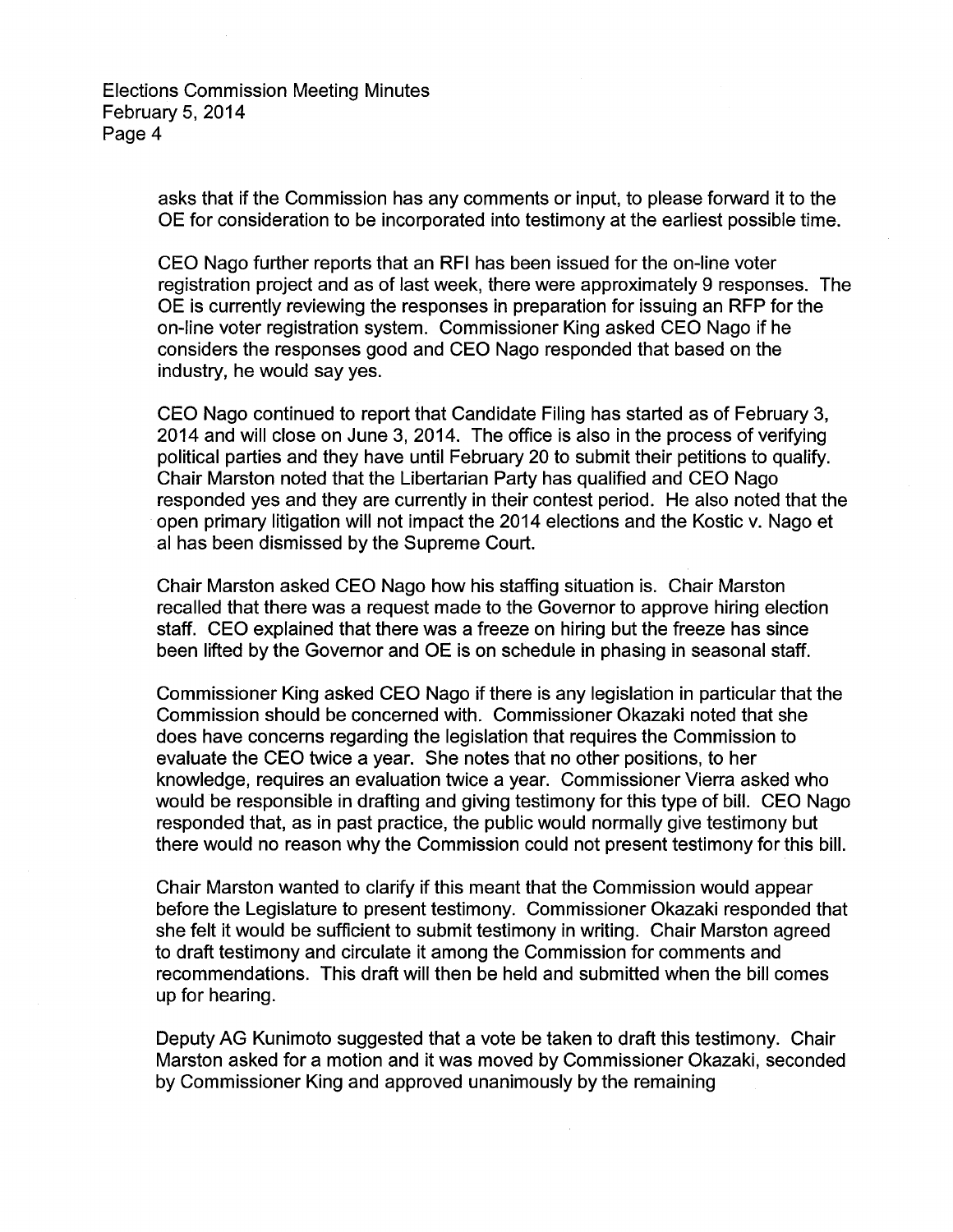> asks that if the Commission has any comments or input, to please forward it to the OE for consideration to be incorporated into testimony at the earliest possible time.

CEO Nago further reports that an RFI has been issued for the on-line voter registration project and as of last week, there were approximately 9 responses. The OE is currently reviewing the responses in preparation for issuing an RFP for the on-line voter registration system. Commissioner King asked CEO Nago if he considers the responses good and CEO Nago responded that based on the industry, he would say yes.

CEO Nago continued to report that Candidate Filing has started as of February 3, 2014 and will close on June 3, 2014. The office is also in the process of verifying political parties and they have until February 20 to submit their petitions to qualify. Chair Marston noted that the Libertarian Party has qualified and CEO Nago responded yes and they are currently in their contest period. He also noted that the open primary litigation will not impact the 2014 elections and the Kostic v. Nago et al has been dismissed by the Supreme Court.

Chair Marston asked CEO Nago how his staffing situation is. Chair Marston recalled that there was a request made to the Governor to approve hiring election staff. CEO explained that there was a freeze on hiring but the freeze has since been lifted by the Governor and OE is on schedule in phasing in seasonal staff.

Commissioner King asked CEO Nago if there is any legislation in particular that the Commission should be concerned with. Commissioner Okazaki noted that she does have concerns regarding the legislation that requires the Commission to evaluate the CEO twice a year. She notes that no other positions, to her knowledge, requires an evaluation twice a year. Commissioner Vierra asked who would be responsible in drafting and giving testimony for this type of bill. CEO Nago responded that, as in past practice, the public would normally give testimony but there would no reason why the Commission could not present testimony for this bill.

Chair Marston wanted to clarify if this meant that the Commission would appear before the Legislature to present testimony. Commissioner Okazaki responded that she felt it would be sufficient to submit testimony in writing. Chair Marston agreed to draft testimony and circulate it among the Commission for comments and recommendations. This draft will then be held and submitted when the bill comes up for hearing.

Deputy AG Kunimoto suggested that a vote be taken to draft this testimony. Chair Marston asked for a motion and it was moved by Commissioner Okazaki, seconded by Commissioner King and approved unanimously by the remaining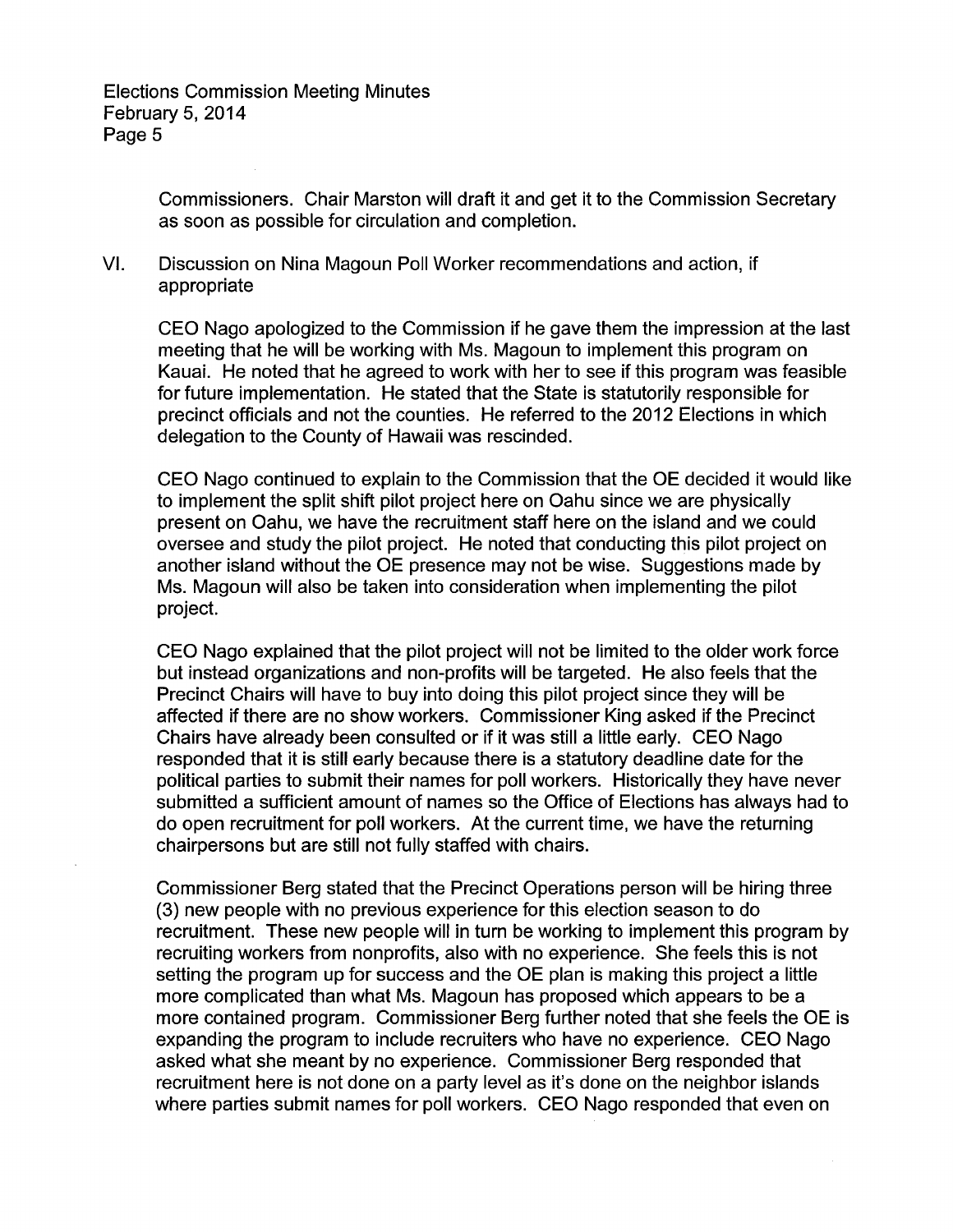Commissioners. Chair Marston will draft it and get it to the Commission Secretary as soon as possible for circulation and completion.

VI. Discussion on Nina Magoun Poll Worker recommendations and action, if appropriate

CEO Nago apologized to the Commission if he gave them the impression at the last meeting that he will be working with Ms. Magoun to implement this program on Kauai. He noted that he agreed to work with her to see if this program was feasible for future implementation. He stated that the State is statutorily responsible for precinct officials and not the counties. He referred to the 2012 Elections in which delegation to the County of Hawaii was rescinded.

CEO Nago continued to explain to the Commission that the OE decided it would like to implement the split shift pilot project here on Oahu since we are physically present on Oahu, we have the recruitment staff here on the island and we could oversee and study the pilot project. He noted that conducting this pilot project on another island without the OE presence may not be wise. Suggestions made by Ms. Magoun will also be taken into consideration when implementing the pilot project.

CEO Nago explained that the pilot project will not be limited to the older work force but instead organizations and non-profits will be targeted. He also feels that the Precinct Chairs will have to buy into doing this pilot project since they will be affected if there are no show workers. Commissioner King asked if the Precinct Chairs have already been consulted or if it was still a little early. CEO Nago responded that it is still early because there is a statutory deadline date for the political parties to submit their names for poll workers. Historically they have never submitted a sufficient amount of names so the Office of Elections has always had to do open recruitment for poll workers. At the current time, we have the returning chairpersons but are still not fully staffed with chairs.

Commissioner Berg stated that the Precinct Operations person will be hiring three (3) new people with no previous experience for this election season to do recruitment. These new people will in turn be working to implement this program by recruiting workers from nonprofits, also with no experience. She feels this is not setting the program up for success and the OE plan is making this project a little more complicated than what Ms. Magoun has proposed which appears to be a more contained program. Commissioner Berg further noted that she feels the OE is expanding the program to include recruiters who have no experience. CEO Nago asked what she meant by no experience. Commissioner Berg responded that recruitment here is not done on a party level as it's done on the neighbor islands where parties submit names for poll workers. CEO Nago responded that even on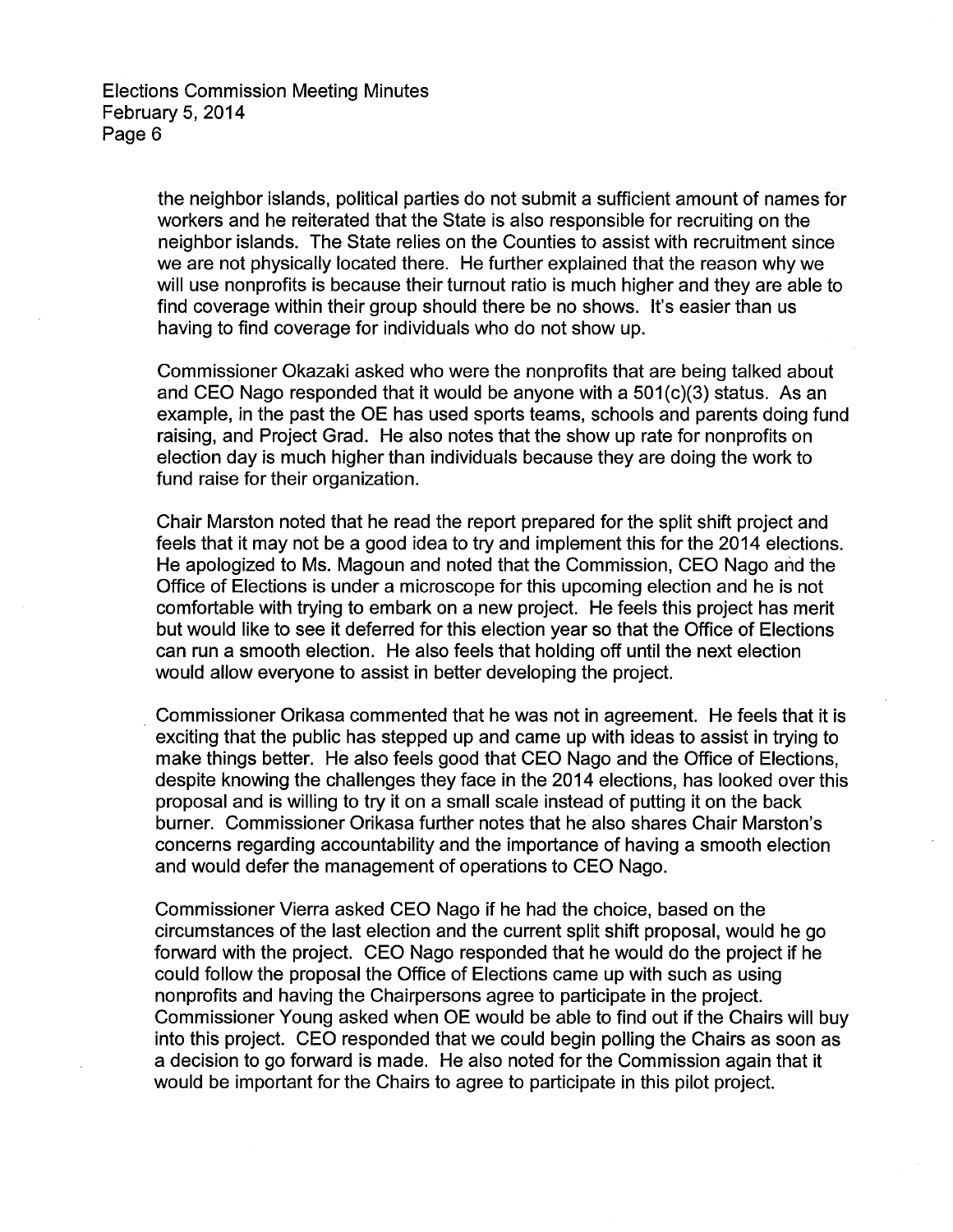> the neighbor islands, political parties do not submit a sufficient amount of names for workers and he reiterated that the State is also responsible for recruiting on the neighbor islands. The State relies on the Counties to assist with recruitment since we are not physically located there. He further explained that the reason why we will use nonprofits is because their turnout ratio is much higher and they are able to find coverage within their group should there be no shows. It's easier than us having to find coverage for individuals who do not show up.

> Commissioner Okazaki asked who were the nonprofits that are being talked about and CEO Nago responded that it would be anyone with a 501(c)(3) status. As an example, in the past the OE has used sports teams, schools and parents doing fund raising, and Project Grad. He also notes that the show up rate for nonprofits on election day is much higher than individuals because they are doing the work to fund raise for their organization.

> Chair Marston noted that he read the report prepared for the split shift project and feels that it may not be a good idea to try and implement this for the 2014 elections. He apologized to Ms. Magoun and noted that the Commission, CEO Nago arid the Office of Elections is under a microscope for this upcoming election and he is not comfortable with trying to embark on a new project. He feels this project has merit but would like to see it deferred for this election year so that the Office of Elections can run a smooth election. He also feels that holding off until the next election would allow everyone to assist in better developing the project.

> . Commissioner Orikasa commented that he was not in agreement. He feels that it is exciting that the public has stepped up and came up with ideas to assist in trying to make things better. He also feels good that CEO Nago and the Office of Elections, despite knowing the challenges they face in the 2014 elections, has looked over this proposal and is willing to try it on a small scale instead of putting it on the back burner. Commissioner Orikasa further notes that he also shares Chair Marston's concerns regarding accountability and the importance of having a smooth election and would defer the management of operations to CEO Nago.

> Commissioner Vierra asked CEO Nago if he had the choice, based on the circumstances of the last election and the current split shift proposal, would he go forward with the project. CEO Nago responded that he would do the project if he could follow the proposal the Office of Elections came up with such as using nonprofits and having the Chairpersons agree to participate in the project. Commissioner Young asked when OE would be able to find out if the Chairs will buy into this project. CEO responded that we could begin polling the Chairs as soon as a decision to go forward is made. He also noted for the Commission again that it would be important for the Chairs to agree to participate in this pilot project.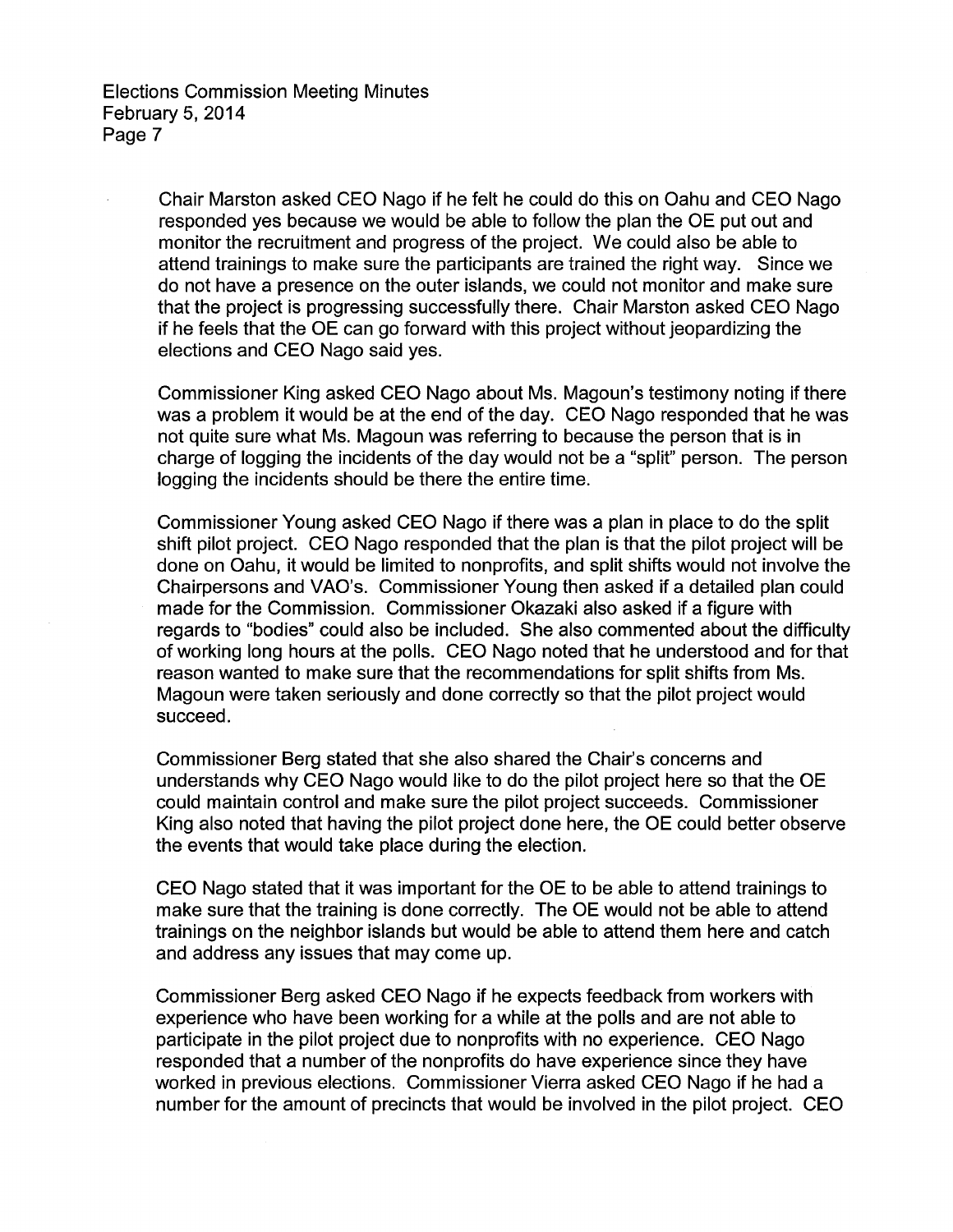> Chair Marston asked CEO Nago if he felt he could do this on Oahu and CEO Nago responded yes because we would be able to follow the plan the OE put out and monitor the recruitment and progress of the project. We could also be able to attend trainings to make sure the participants are trained the right way. Since we do not have a presence on the outer islands, we could not monitor and make sure that the project is progressing successfully there. Chair Marston asked CEO Nago if he feels that the OE can go forward with this project without jeopardizing the elections and CEO Nago said yes.

> Commissioner King asked CEO Nago about Ms. Magoun's testimony noting if there was a problem it would be at the end of the day. CEO Nago responded that he was not quite sure what Ms. Magoun was referring to because the person that is in charge of logging the incidents of the day would not be a "split" person. The person logging the incidents should be there the entire time.

> Commissioner Young asked CEO Nago if there was a plan in place to do the split shift pilot project. CEO Nago responded that the plan is that the pilot project will be done on Oahu, it would be limited to nonprofits, and split shifts would not involve the Chairpersons and VAO's. Commissioner Young then asked if a detailed plan could made for the Commission. Commissioner Okazaki also asked if a figure with regards to "bodies" could also be included. She also commented about the difficulty of working long hours at the polls. CEO Nago noted that he understood and for that reason wanted to make sure that the recommendations for split shifts from Ms. Magoun were taken seriously and done correctly so that the pilot project would succeed.

> Commissioner Berg stated that she also shared the Chair's concerns and understands why CEO Nago would like to do the pilot project here so that the OE could maintain control and make sure the pilot project succeeds. Commissioner King also noted that having the pilot project done here, the OE could better observe the events that would take place during the election.

CEO Nago stated that it was important for the OE to be able to attend trainings to make sure that the training is done correctly. The OE would not be able to attend trainings on the neighbor islands but would be able to attend them here and catch and address any issues that may come up.

Commissioner Berg asked CEO Nago if he expects feedback from workers with experience who have been working for a while at the polls and are not able to participate in the pilot project due to nonprofits with no experience. CEO Nago responded that a number of the nonprofits do have experience since they have worked in previous elections. Commissioner Vierra asked CEO Nago if he had a number for the amount of precincts that would be involved in the pilot project. CEO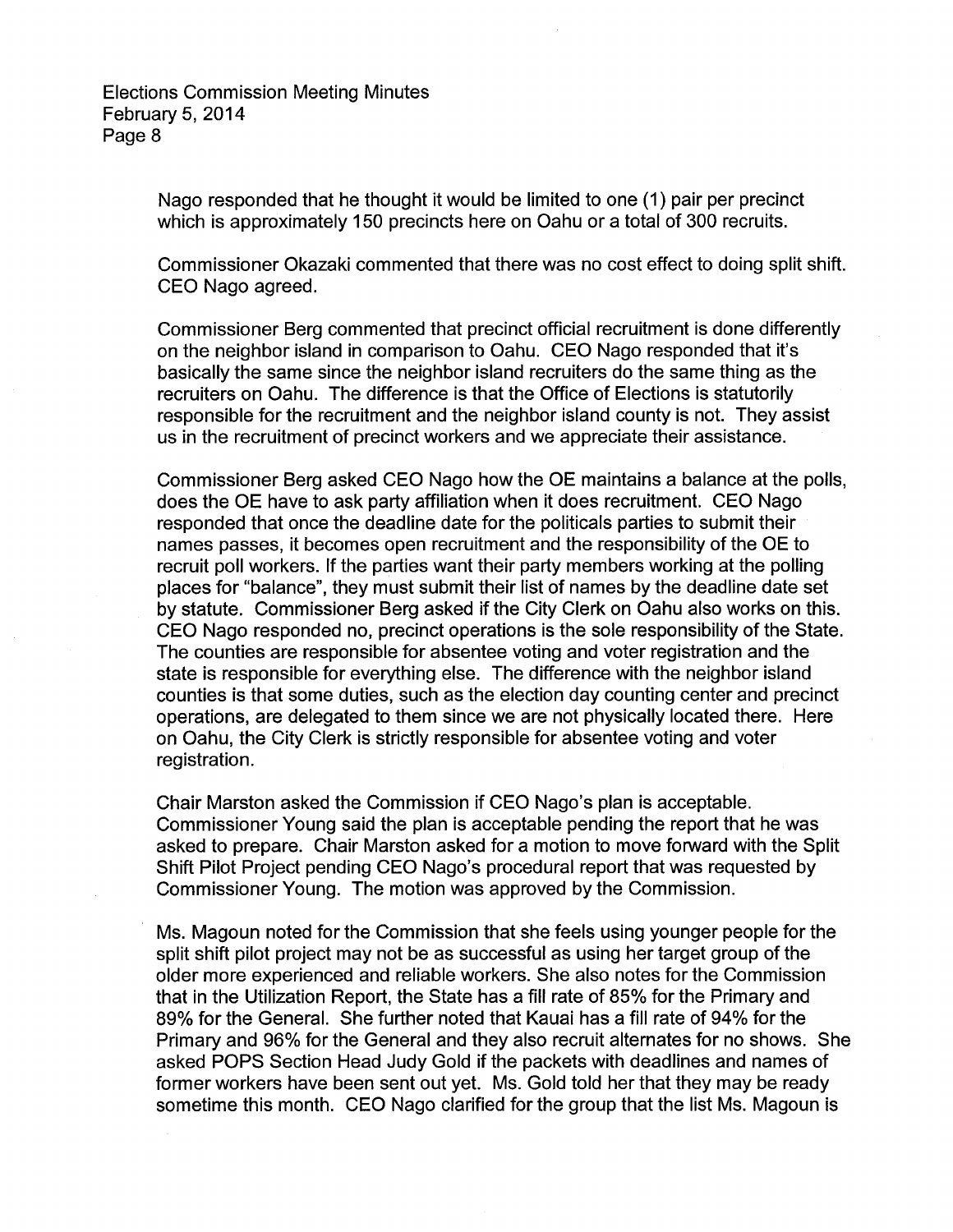> Nago responded that he thought it would be limited to one (1) pair per precinct which is approximately 150 precincts here on Oahu or a total of 300 recruits.

Commissioner Okazaki commented that there was no cost effect to doing split shift. CEO Nago agreed.

Commissioner Berg commented that precinct official recruitment is done differently on the neighbor island in comparison to Oahu. CEO Nago responded that it's basically the same since the neighbor island recruiters do the same thing as the recruiters on Oahu. The difference is that the Office of Elections is statutorily responsible for the recruitment and the neighbor island county is not. They assist us in the recruitment of precinct workers and we appreciate their assistance.

Commissioner Berg asked CEO Nago how the OE maintains a balance at the polls, does the OE have to ask party affiliation when it does recruitment. CEO Nago responded that once the deadline date for the politicals parties to submit their names passes, it becomes open recruitment and the responsibility of the OE to recruit poll workers. If the parties want their party members working at the polling places for "balance", they must submit their list of names by the deadline date set by statute. Commissioner Berg asked if the City Clerk on Oahu also works on this. CEO Nago responded no, precinct operations is the sole responsibility of the State. The counties are responsible for absentee voting and voter registration and the state is responsible for everything else. The difference with the neighbor island counties is that some duties, such as the election day counting center and precinct operations, are delegated to them since we are not physically located there. Here on Oahu, the City Clerk is strictly responsible for absentee voting and voter registration.

Chair Marston asked the Commission if CEO Nago's plan is acceptable. Commissioner Young said the plan is acceptable pending the report that he was asked to prepare. Chair Marston asked for a motion to move forward with the Split Shift Pilot Project pending CEO Nago's procedural report that was requested by Commissioner Young. The motion was approved by the Commission.

Ms. Magoun noted for the Commission that she feels using younger people for the split shift pilot project may not be as successful as using her target group of the older more experienced and reliable workers. She also notes for the Commission that in the Utilization Report, the State has a fill rate of 85% for the Primary and 89% for the General. She further noted that Kauai has a fill rate of 94% for the Primary and 96% for the General and they also recruit alternates for no shows. She asked POPS Section Head Judy Gold if the packets with deadlines and names of former workers have been sent out yet. Ms. Gold told her that they may be ready sometime this month. CEO Nago clarified for the group that the list Ms. Magoun is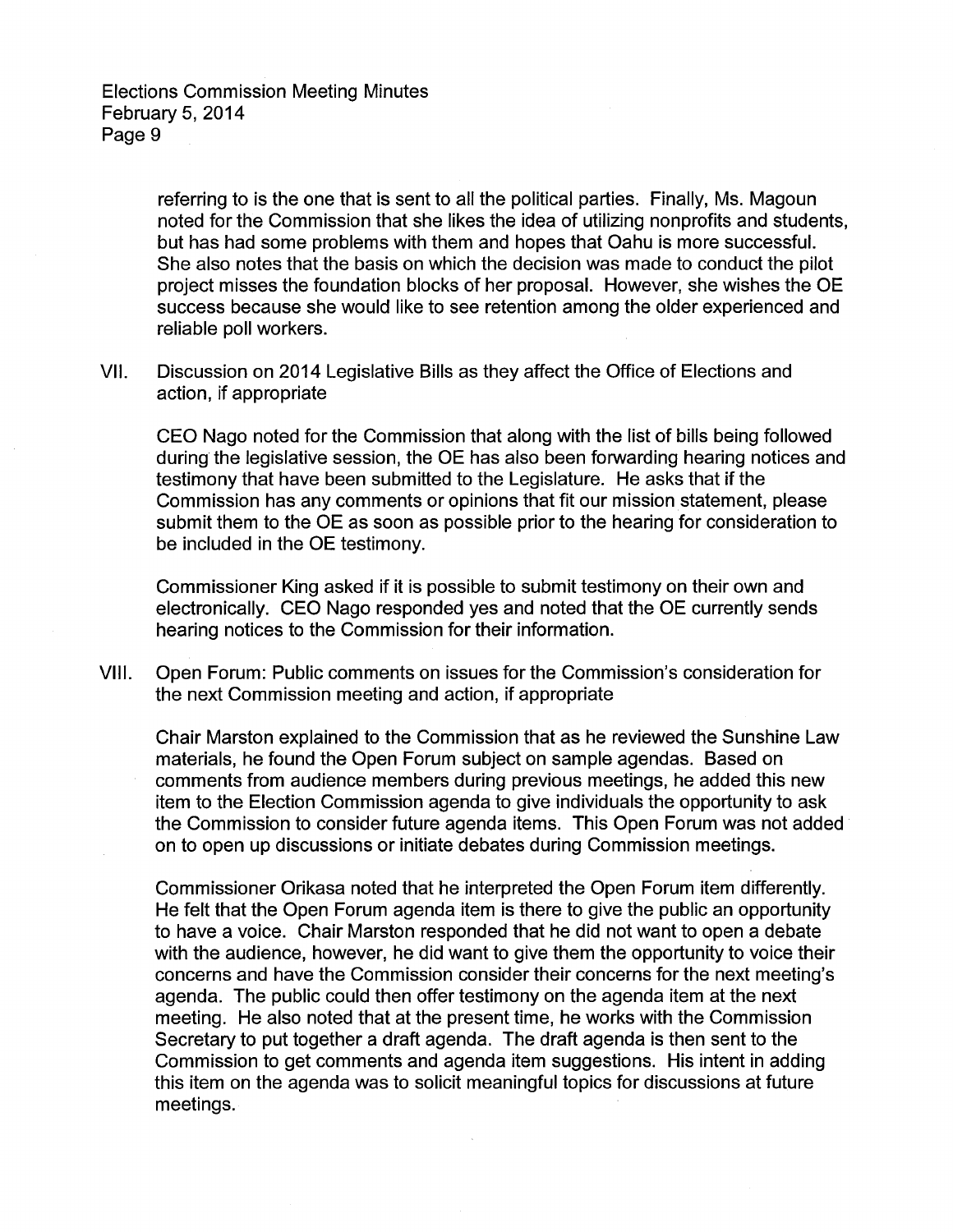> referring to is the one that is sent to all the political parties. Finally, Ms. Magoun noted for the Commission that she likes the idea of utilizing nonprofits and students, but has had some problems with them and hopes that Oahu is more successful. She also notes that the basis on which the decision was made to conduct the pilot project misses the foundation blocks of her proposal. However, she wishes the OE success because she would like to see retention among the older experienced and reliable poll workers.

VII. Discussion on 2014 Legislative Bills as they affect the Office of Elections and action, if appropriate

CEO Nago noted for the Commission that along with the list of bills being followed during the legislative session, the OE has also been forwarding hearing notices and testimony that have been submitted to the Legislature. He asks that if the Commission has any comments or opinions that fit our mission statement, please submit them to the OE as soon as possible prior to the hearing for consideration to be included in the OE testimony.

Commissioner King asked if it is possible to submit testimony on their own and electronically. CEO Nago responded yes and noted that the OE currently sends hearing notices to the Commission for their information.

VIII. Open Forum: Public comments on issues for the Commission's consideration for the next Commission meeting and action, if appropriate

Chair Marston explained to the Commission that as he reviewed the Sunshine Law materials, he found the Open Forum subject on sample agendas. Based on comments from audience members during previous meetings, he added this new item to the Election Commission agenda to give individuals the opportunity to ask the Commission to consider future agenda items. This Open Forum was not added · on to open up discussions or initiate debates during Commission meetings.

Commissioner Orikasa noted that he interpreted the Open Forum item differently. He felt that the Open Forum agenda item is there to give the public an opportunity to have a voice. Chair Marston responded that he did not want to open a debate with the audience, however, he did want to give them the opportunity to voice their concerns and have the Commission consider their concerns for the next meeting's agenda. The public could then offer testimony on the agenda item at the next meeting. He also noted that at the present time, he works with the Commission Secretary to put together a draft agenda. The draft agenda is then sent to the Commission to get comments and agenda item suggestions. His intent in adding this item on the agenda was to solicit meaningful topics for discussions at future meetings.